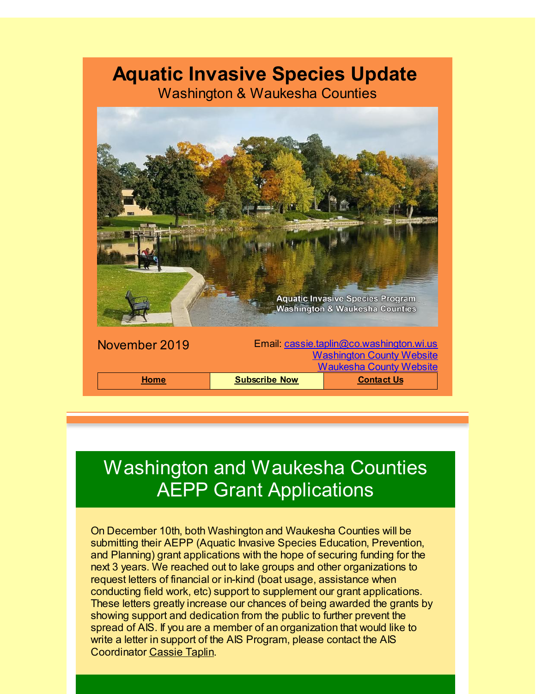### **Aquatic Invasive Species Update**

Washington & Waukesha Counties



# Washington and Waukesha Counties AEPP Grant Applications

On December 10th, both Washington and Waukesha Counties will be submitting their AEPP (Aquatic Invasive Species Education, Prevention, and Planning) grant applications with the hope of securing funding for the next 3 years. We reached out to lake groups and other organizations to request letters of financial or in-kind (boat usage, assistance when conducting field work, etc) support to supplement our grant applications. These letters greatly increase our chances of being awarded the grants by showing support and dedication from the public to further prevent the spread of AIS. If you are a member of an organization that would like to write a letter in support of the AIS Program, please contact the AIS Coordinator [Cassie](mailto:cassie.taplin@co.washington.wi.us) Taplin.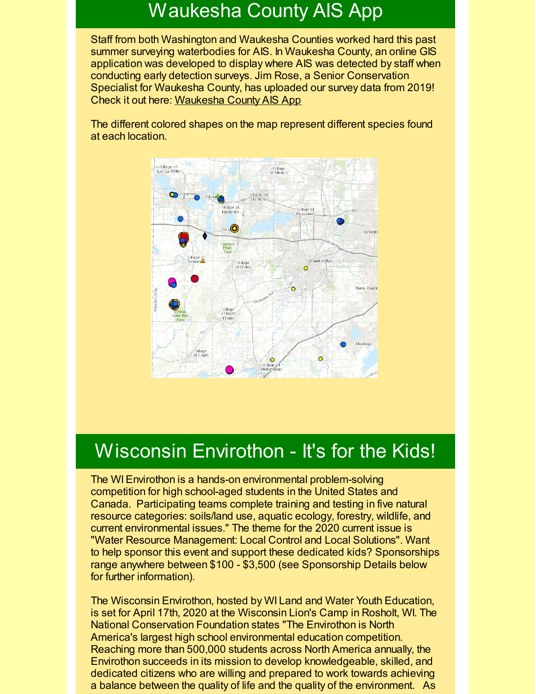### Waukesha County AIS App

Staff from both Washington and Waukesha Counties worked hard this past summer surveying waterbodies for AIS. In Waukesha County, an online GIS application was developed to display where AIS was detected by staff when conducting early detection surveys. Jim Rose, a Senior Conservation Specialist for Waukesha County, has uploaded our survey data from 2019! Check it out here: [Waukesha](https://waukeshacounty.maps.arcgis.com/apps/webappviewer/index.html?id=a6430adc87794e1095429b4b54a637b8&utm_source=Aquatic+Invasive+Species+November+2019&utm_campaign=AIS+January+2018+Update&utm_medium=email) County AIS App

The different colored shapes on the map represent different species found at each location.



### Wisconsin Envirothon - It's for the Kids!

The WI Envirothon is a hands-on environmental problem-solving competition for high school-aged students in the United States and Canada. Participating teams complete training and testing in five natural resource categories: soils/land use, aquatic ecology, forestry, wildlife, and current environmental issues." The theme for the 2020 current issue is "Water Resource Management: Local Control and Local Solutions". Want to help sponsor this event and support these dedicated kids? Sponsorships range anywhere between \$100 - \$3,500 (see Sponsorship Details below for further information).

The Wisconsin Envirothon, hosted by WI Land and Water Youth Education, is set for April 17th, 2020 at the Wisconsin Lion's Camp in Rosholt, WI. The National Conservation Foundation states "The Envirothon is North America's largest high school environmental education competition. Reaching more than 500,000 students across North America annually, the Envirothon succeeds in its mission to develop knowledgeable, skilled, and dedicated citizens who are willing and prepared to work towards achieving a balance between the quality of life and the quality of the environment. As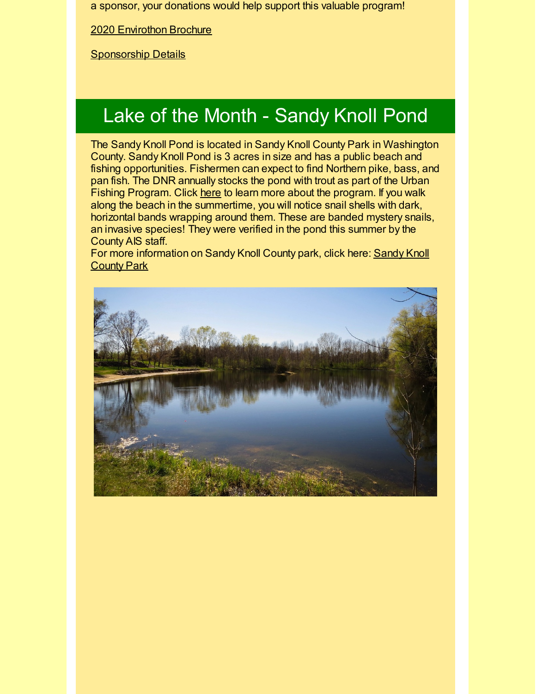a sponsor, your donations would help support this valuable program!

2020 [Envirothon](https://files.constantcontact.com/aa8b3099001/9f030b58-652e-41f8-9eb1-564c4064debd.pdf) Brochure

**[Sponsorship](https://files.constantcontact.com/aa8b3099001/e6e576c2-a3bf-46c2-afdd-d0791f2e3c90.docx) Details** 

# Lake of the Month - Sandy Knoll Pond

The Sandy Knoll Pond is located in Sandy Knoll County Park in Washington County. Sandy Knoll Pond is 3 acres in size and has a public beach and fishing opportunities. Fishermen can expect to find Northern pike, bass, and pan fish. The DNR annually stocks the pond with trout as part of the Urban Fishing Program. Click [here](https://dnr.wi.gov/topic/fishing/trout/CatchableTrout.html?utm_source=Aquatic+Invasive+Species+November+2019&utm_campaign=AIS+January+2018+Update&utm_medium=email) to learn more about the program. If you walk along the beach in the summertime, you will notice snail shells with dark, horizontal bands wrapping around them. These are banded mystery snails, an invasive species! They were verified in the pond this summer by the County AIS staff.

For more [information](http://www.co.washington.wi.us/departments.iml?Detail=424&utm_source=Aquatic+Invasive+Species+November+2019&utm_campaign=AIS+January+2018+Update&utm_medium=email) on Sandy Knoll County park, click here: Sandy Knoll County Park